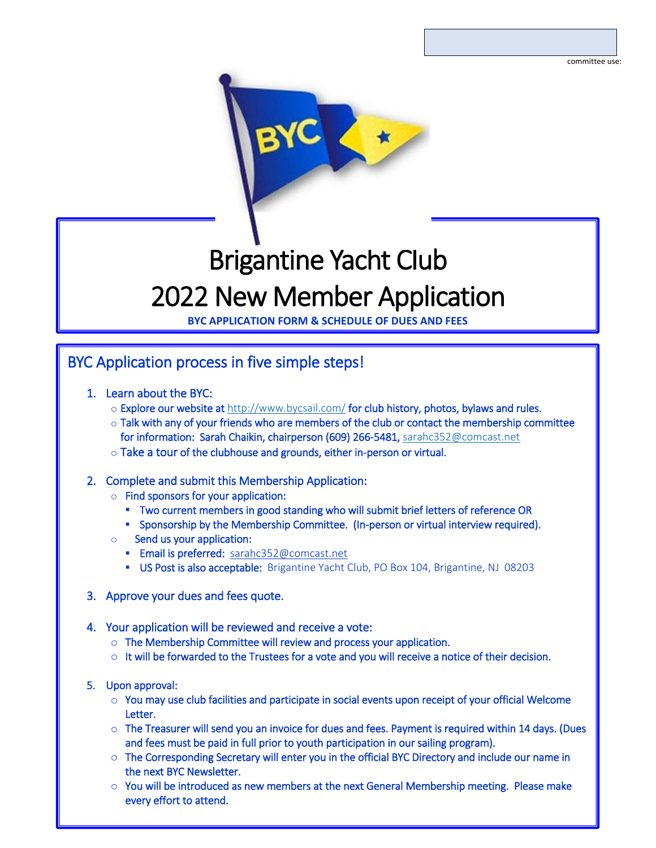committee use:



## Brigantine Yacht Club 2022 New Member Application

**BYC APPLICATION FORM & SCHEDULE OF DUES AND FEES**

## BYC Application process in five simple steps!

- 1. Learn about the BYC:
	- o Explore our website at<http://www.bycsail.com/>for club history, photos, bylaws and rules.
	- $\circ$  Talk with any of your friends who are members of the club or contact the membership committee for information: Sarah Chaikin, chairperson (609) 266-5481, [sarahc352@comcast.net](mailto:sarahc352@comcast.net)
	- $\circ$  Take a tour of the clubhouse and grounds, either in-person or virtual.
- 2. Complete and submit this Membership Application:
	- $\circ$  Find sponsors for your application:
		- 352 11th St. S. Two current members in good standing who will submit brief letters of reference OR
		- Sponsorship by the Membership Committee. (In-person or virtual interview required).
	- o Send us your application:
		- **Email is preferred:** [sarahc352@comcast.net](mailto:sarahc352@comcast.net)
		- US Post is also acceptable: Brigantine Yacht Club, PO Box 104, Brigantine, NJ 08203
- 3. Approve your dues and fees quote.
- 4. Your application will be reviewed and receive a vote:
	- o The Membership Committee will review and process your application.
	- $\circ$  It will be forwarded to the Trustees for a vote and you will receive a notice of their decision.
- 5. Upon approval:

 $\overline{\phantom{a}}$ 

- $\circ$  You may use club facilities and participate in social events upon receipt of your official Welcome Letter.
- $\circ$  The Treasurer will send you an invoice for dues and fees. Payment is required within 14 days. (Dues and fees must be paid in full prior to youth participation in our sailing program).
- $\circ$  The Corresponding Secretary will enter you in the official BYC Directory and include our name in the next BYC Newsletter.
- $\circ$  You will be introduced as new members at the next General Membership meeting. Please make every effort to attend.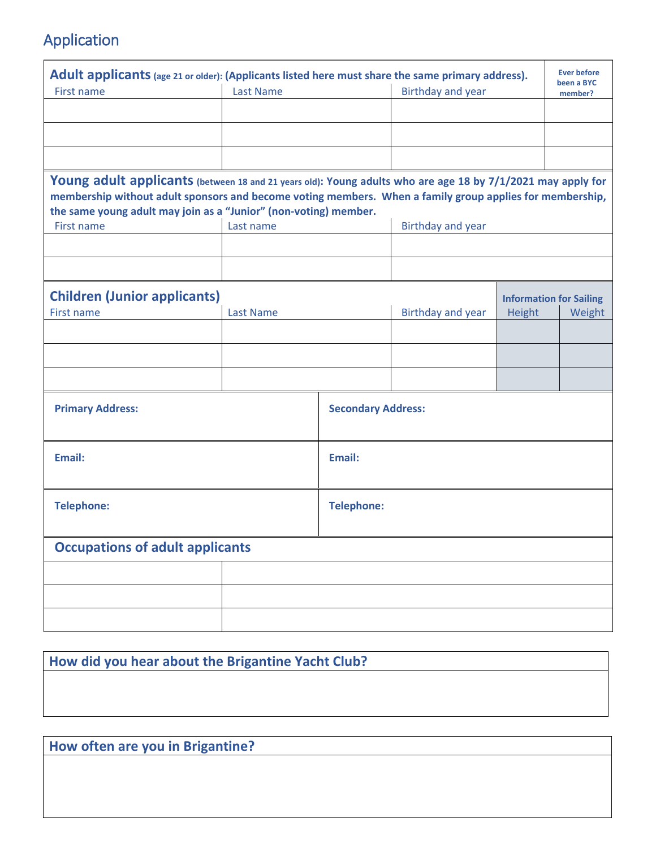## Application

| Adult applicants (age 21 or older): (Applicants listed here must share the same primary address).<br>First name                                                                                                                                                                             | <b>Last Name</b> |                           | <b>Birthday and year</b>                                      |  | <b>Ever before</b><br>been a BYC<br>member? |
|---------------------------------------------------------------------------------------------------------------------------------------------------------------------------------------------------------------------------------------------------------------------------------------------|------------------|---------------------------|---------------------------------------------------------------|--|---------------------------------------------|
|                                                                                                                                                                                                                                                                                             |                  |                           |                                                               |  |                                             |
|                                                                                                                                                                                                                                                                                             |                  |                           |                                                               |  |                                             |
|                                                                                                                                                                                                                                                                                             |                  |                           |                                                               |  |                                             |
| Young adult applicants (between 18 and 21 years old): Young adults who are age 18 by 7/1/2021 may apply for<br>membership without adult sponsors and become voting members. When a family group applies for membership,<br>the same young adult may join as a "Junior" (non-voting) member. |                  |                           |                                                               |  |                                             |
| First name                                                                                                                                                                                                                                                                                  | Last name        |                           | <b>Birthday and year</b>                                      |  |                                             |
|                                                                                                                                                                                                                                                                                             |                  |                           |                                                               |  |                                             |
|                                                                                                                                                                                                                                                                                             |                  |                           |                                                               |  |                                             |
| <b>Children (Junior applicants)</b><br>First name                                                                                                                                                                                                                                           | <b>Last Name</b> |                           | <b>Information for Sailing</b><br>Birthday and year<br>Height |  | Weight                                      |
|                                                                                                                                                                                                                                                                                             |                  |                           |                                                               |  |                                             |
|                                                                                                                                                                                                                                                                                             |                  |                           |                                                               |  |                                             |
|                                                                                                                                                                                                                                                                                             |                  |                           |                                                               |  |                                             |
| <b>Primary Address:</b>                                                                                                                                                                                                                                                                     |                  | <b>Secondary Address:</b> |                                                               |  |                                             |
| Email:                                                                                                                                                                                                                                                                                      |                  | Email:                    |                                                               |  |                                             |
| <b>Telephone:</b>                                                                                                                                                                                                                                                                           |                  | <b>Telephone:</b>         |                                                               |  |                                             |
| <b>Occupations of adult applicants</b>                                                                                                                                                                                                                                                      |                  |                           |                                                               |  |                                             |
|                                                                                                                                                                                                                                                                                             |                  |                           |                                                               |  |                                             |
|                                                                                                                                                                                                                                                                                             |                  |                           |                                                               |  |                                             |
|                                                                                                                                                                                                                                                                                             |                  |                           |                                                               |  |                                             |

**How did you hear about the Brigantine Yacht Club?** 

**How often are you in Brigantine?**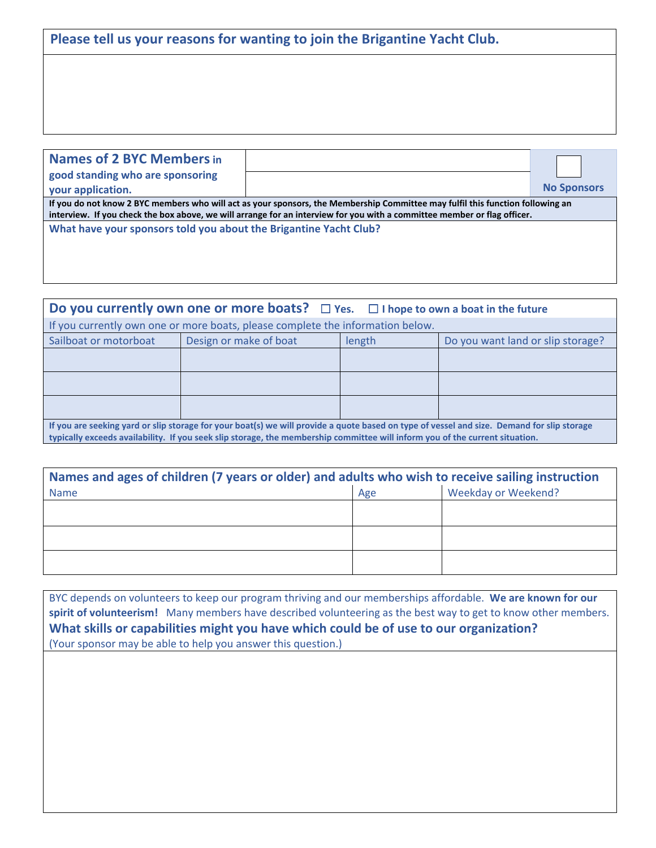| Please tell us your reasons for wanting to join the Brigantine Yacht Club. |  |  |
|----------------------------------------------------------------------------|--|--|
|----------------------------------------------------------------------------|--|--|

| <b>Names of 2 BYC Members in</b><br>good standing who are sponsoring<br>your application.                                                                                                                                                                  |  | <b>No Sponsors</b> |  |  |  |
|------------------------------------------------------------------------------------------------------------------------------------------------------------------------------------------------------------------------------------------------------------|--|--------------------|--|--|--|
| If you do not know 2 BYC members who will act as your sponsors, the Membership Committee may fulfil this function following an<br>interview. If you check the box above, we will arrange for an interview for you with a committee member or flag officer. |  |                    |  |  |  |
| What have your sponsors told you about the Brigantine Yacht Club?                                                                                                                                                                                          |  |                    |  |  |  |

| Do you currently own one or more boats? $\Box$ Yes. $\Box$ I hope to own a boat in the future                                                                                                                                                                              |                                                                       |  |  |  |  |  |
|----------------------------------------------------------------------------------------------------------------------------------------------------------------------------------------------------------------------------------------------------------------------------|-----------------------------------------------------------------------|--|--|--|--|--|
| If you currently own one or more boats, please complete the information below.                                                                                                                                                                                             |                                                                       |  |  |  |  |  |
| Sailboat or motorboat                                                                                                                                                                                                                                                      | Design or make of boat<br>Do you want land or slip storage?<br>length |  |  |  |  |  |
|                                                                                                                                                                                                                                                                            |                                                                       |  |  |  |  |  |
|                                                                                                                                                                                                                                                                            |                                                                       |  |  |  |  |  |
|                                                                                                                                                                                                                                                                            |                                                                       |  |  |  |  |  |
| If you are seeking yard or slip storage for your boat(s) we will provide a quote based on type of vessel and size. Demand for slip storage<br>typically exceeds availability. If you seek slip storage, the membership committee will inform you of the current situation. |                                                                       |  |  |  |  |  |

| Names and ages of children (7 years or older) and adults who wish to receive sailing instruction |                            |  |  |  |  |
|--------------------------------------------------------------------------------------------------|----------------------------|--|--|--|--|
| <b>Name</b>                                                                                      | Weekday or Weekend?<br>Age |  |  |  |  |
|                                                                                                  |                            |  |  |  |  |
|                                                                                                  |                            |  |  |  |  |
|                                                                                                  |                            |  |  |  |  |
|                                                                                                  |                            |  |  |  |  |
|                                                                                                  |                            |  |  |  |  |

BYC depends on volunteers to keep our program thriving and our memberships affordable. **We are known for our spirit of volunteerism!** Many members have described volunteering as the best way to get to know other members. **What skills or capabilities might you have which could be of use to our organization?**  (Your sponsor may be able to help you answer this question.)